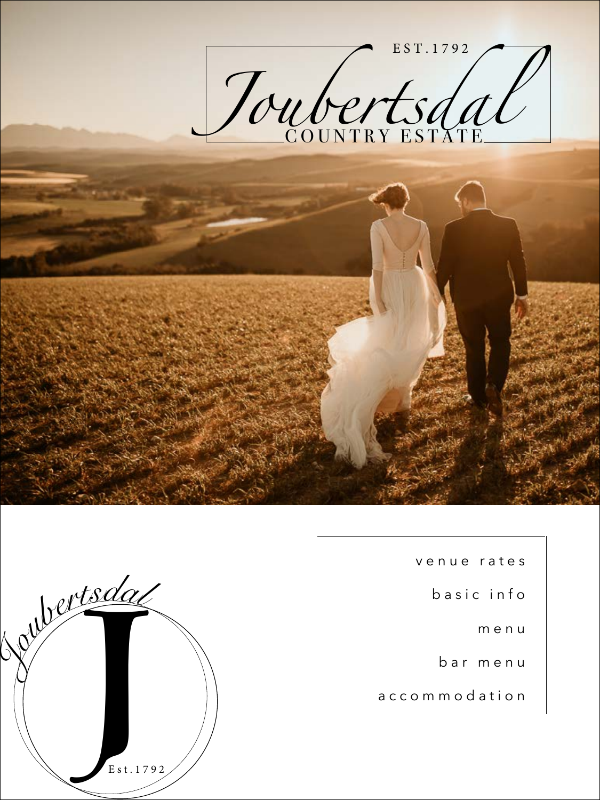

v e n u e r a t e s b a s i c i n f o m e n u b a r m e n u

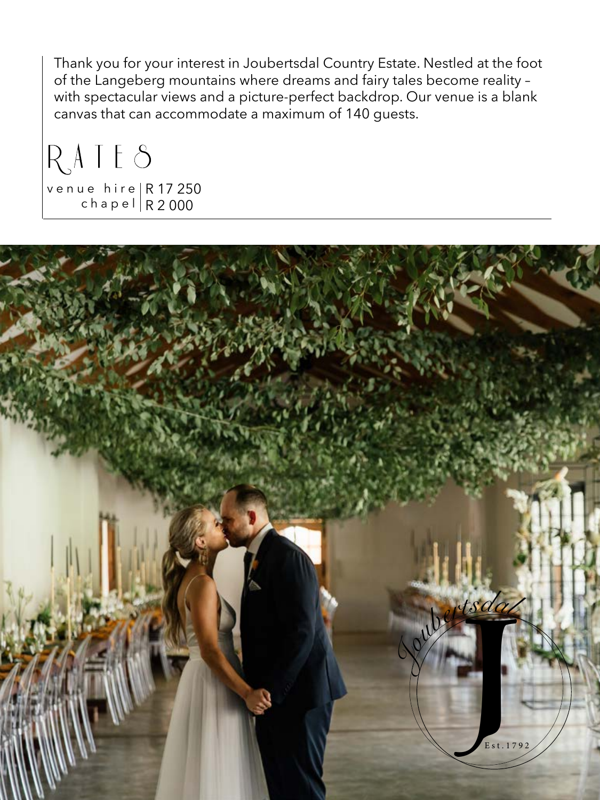Thank you for your interest in Joubertsdal Country Estate. Nestled at the foot of the Langeberg mountains where dreams and fairy tales become reality – with spectacular views and a picture-perfect backdrop. Our venue is a blank canvas that can accommodate a maximum of 140 guests.

RATES

R 17 250 R 2 000 v e n u e h i r e c h a p e l

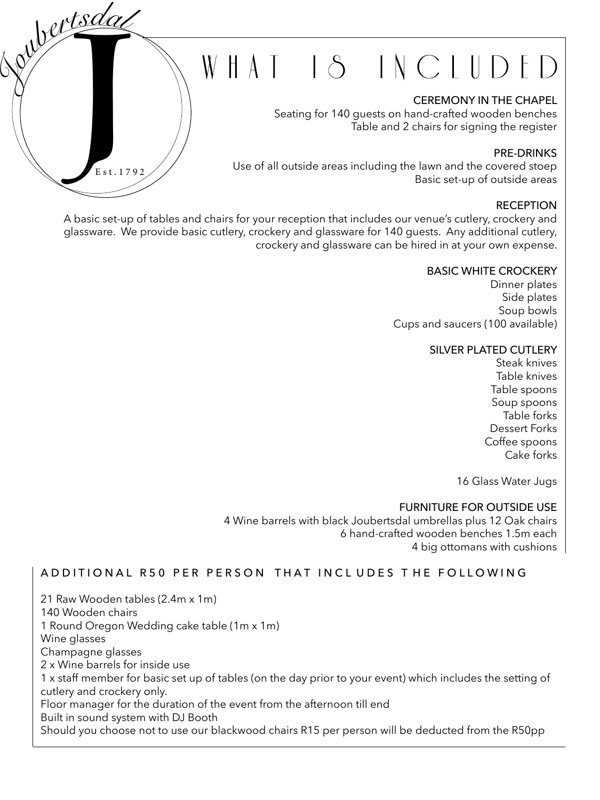## WHAT IS INCLUDED

### CEREMONY IN THE CHAPEL

Seating for 140 guests on hand-crafted wooden benches Table and 2 chairs for signing the register

## PRE-DRINKS

Use of all outside areas including the lawn and the covered stoep Basic set-up of outside areas

## **RECEPTION**

A basic set-up of tables and chairs for your reception that includes our venue's cutlery, crockery and glassware. We provide basic cutlery, crockery and glassware for 140 guests. Any additional cutlery, crockery and glassware can be hired in at your own expense.

 $Est.17$ 

E s t . 1 7 9 2

*Joubertsda<sup>l</sup>*

### BASIC WHITE CROCKERY

Dinner plates Side plates Soup bowls Cups and saucers (100 available)

### SILVER PLATED CUTLERY

Steak knives Table knives Table spoons Soup spoons Table forks Dessert Forks Coffee spoons Cake forks

16 Glass Water Jugs

### FURNITURE FOR OUTSIDE USE

4 Wine barrels with black Joubertsdal umbrellas plus 12 Oak chairs 6 hand-crafted wooden benches 1.5m each 4 big ottomans with cushions

## A D D I T I O N A L R 50 P E R P E R S O N T H A T IN C L U D E S T H E FOLL O W IN G

21 Raw Wooden tables (2.4m x 1m) 140 Wooden chairs 1 Round Oregon Wedding cake table (1m x 1m) Wine glasses Champagne glasses 2 x Wine barrels for inside use 1 x staff member for basic set up of tables (on the day prior to your event) which includes the setting of cutlery and crockery only. Floor manager for the duration of the event from the afternoon till end Built in sound system with DJ Booth Should you choose not to use our blackwood chairs R15 per person will be deducted from the R50pp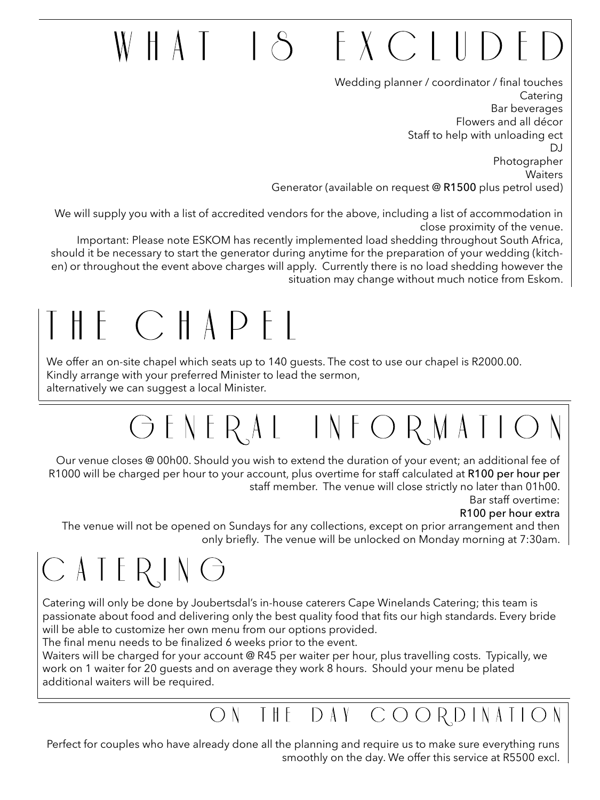## EXCLUDE  $AA \mid \Delta$

Wedding planner / coordinator / final touches Catering Bar beverages Flowers and all décor Staff to help with unloading ect DJ Photographer Waiters Generator (available on request @ R1500 plus petrol used)

We will supply you with a list of accredited vendors for the above, including a list of accommodation in close proximity of the venue.

Important: Please note ESKOM has recently implemented load shedding throughout South Africa, should it be necessary to start the generator during anytime for the preparation of your wedding (kitchen) or throughout the event above charges will apply. Currently there is no load shedding however the situation may change without much notice from Eskom.

## $H \vdash C \vdash A P \vdash P$

We offer an on-site chapel which seats up to 140 guests. The cost to use our chapel is R2000.00. Kindly arrange with your preferred Minister to lead the sermon, alternatively we can suggest a local Minister.

## GENERAL INFORMATI

Our venue closes @ 00h00. Should you wish to extend the duration of your event; an additional fee of R1000 will be charged per hour to your account, plus overtime for staff calculated at R100 per hour per staff member. The venue will close strictly no later than 01h00.

Bar staff overtime:

## R100 per hour extra

The venue will not be opened on Sundays for any collections, except on prior arrangement and then only briefly. The venue will be unlocked on Monday morning at 7:30am.

## $C$  A I E R I N  $G$

Catering will only be done by Joubertsdal's in-house caterers Cape Winelands Catering; this team is passionate about food and delivering only the best quality food that fits our high standards. Every bride will be able to customize her own menu from our options provided.

The final menu needs to be finalized 6 weeks prior to the event.

Waiters will be charged for your account @ R45 per waiter per hour, plus travelling costs. Typically, we work on 1 waiter for 20 guests and on average they work 8 hours. Should your menu be plated additional waiters will be required.

## ON THE DAY COORDINATION

Perfect for couples who have already done all the planning and require us to make sure everything runs smoothly on the day. We offer this service at R5500 excl.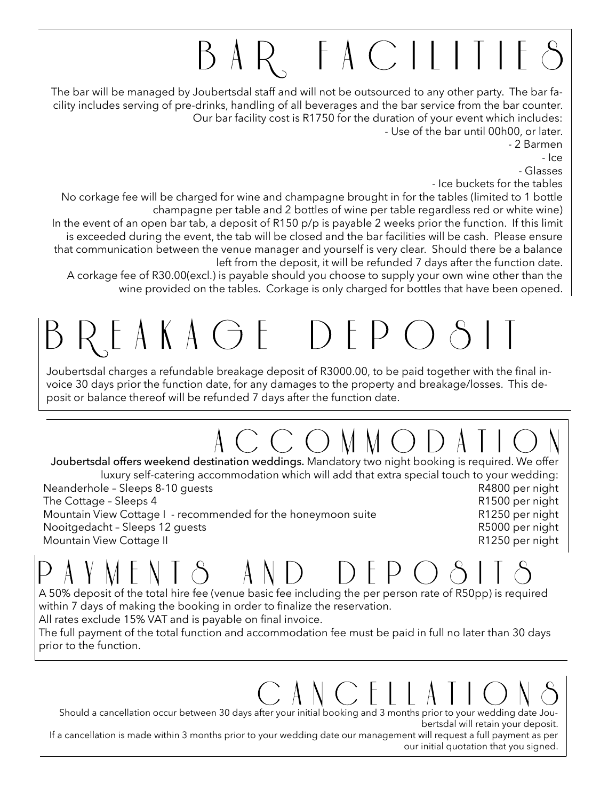# BAR FACILITIE

The bar will be managed by Joubertsdal staff and will not be outsourced to any other party. The bar facility includes serving of pre-drinks, handling of all beverages and the bar service from the bar counter. Our bar facility cost is R1750 for the duration of your event which includes: - Use of the bar until 00h00, or later.

- 2 Barmen

- Ice

- Glasses

- Ice buckets for the tables

No corkage fee will be charged for wine and champagne brought in for the tables (limited to 1 bottle champagne per table and 2 bottles of wine per table regardless red or white wine)

In the event of an open bar tab, a deposit of R150 p/p is payable 2 weeks prior the function. If this limit is exceeded during the event, the tab will be closed and the bar facilities will be cash. Please ensure that communication between the venue manager and yourself is very clear. Should there be a balance left from the deposit, it will be refunded 7 days after the function date.

A corkage fee of R30.00(excl.) is payable should you choose to supply your own wine other than the wine provided on the tables. Corkage is only charged for bottles that have been opened.

# EAKAGE DE

Joubertsdal charges a refundable breakage deposit of R3000.00, to be paid together with the final invoice 30 days prior the function date, for any damages to the property and breakage/losses. This deposit or balance thereof will be refunded 7 days after the function date.

Joubertsdal offers weekend destination weddings. Mandatory two night booking is required. We offer luxury self-catering accommodation which will add that extra special touch to your wedding: Neanderhole – Sleeps 8-10 guests Results R4800 per night The Cottage – Sleeps 4 R1500 per night Mountain View Cottage I - recommended for the honeymoon suite R1250 per night Nooitgedacht – Sleeps 12 guests R5000 per night R1250 per night Mountain View Cottage II

A 50% deposit of the total hire fee (venue basic fee including the per person rate of R50pp) is required within 7 days of making the booking in order to finalize the reservation.

All rates exclude 15% VAT and is payable on final invoice.

The full payment of the total function and accommodation fee must be paid in full no later than 30 days prior to the function.

Should a cancellation occur between 30 days after your initial booking and 3 months prior to your wedding date Joubertsdal will retain your deposit.

If a cancellation is made within 3 months prior to your wedding date our management will request a full payment as per our initial quotation that you signed.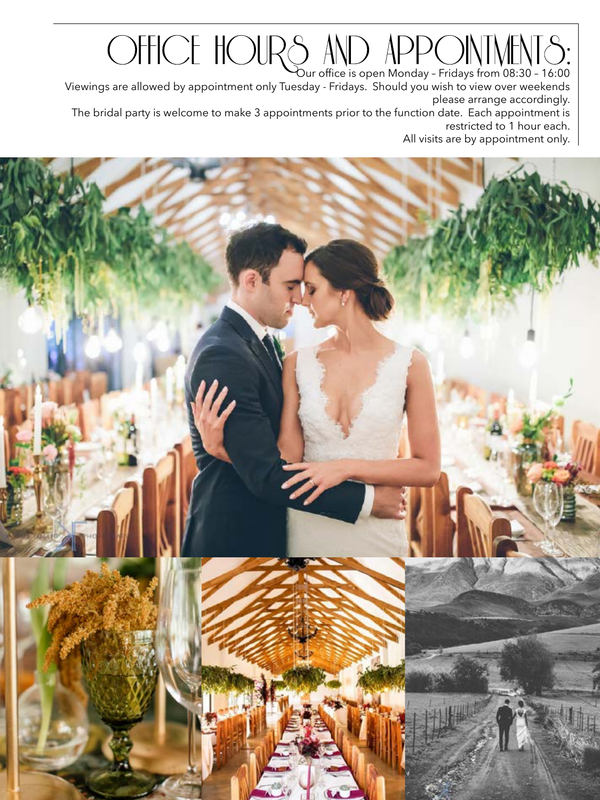Our office is open Monday – Fridays from 08:30 – 16:00 Viewings are allowed by appointment only Tuesday - Fridays. Should you wish to view over weekends please arrange accordingly. The bridal party is welcome to make 3 appointments prior to the function date. Each appointment is restricted to 1 hour each. All visits are by appointment only.

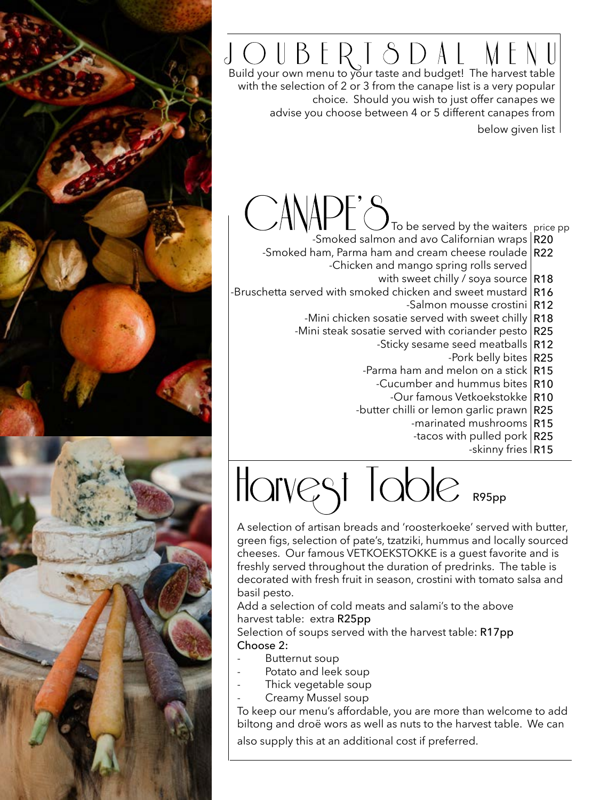## Build your own menu to your taste and budget! The harvest table

with the selection of 2 or 3 from the canape list is a very popular choice. Should you wish to just offer canapes we advise you choose between 4 or 5 different canapes from below given list

- To be served by the waiters price pp -Smoked salmon and avo Californian wraps R20
- -Smoked ham, Parma ham and cream cheese roulade R22 -Chicken and mango spring rolls served
	- with sweet chilly / soya source  $|R18\rangle$
- -Bruschetta served with smoked chicken and sweet mustard  $\mid$  <code>R16</code>
	- -Salmon mousse crostini R12
	- -Mini chicken sosatie served with sweet chilly  $\mid$  <code>R18</code>
	- -Mini steak sosatie served with coriander pesto  $|\mathsf{R25}|$ 
		- -Sticky sesame seed meatballs R12
			- -Pork belly bites R25
			- -Parma ham and melon on a stick  $\mid$  <code>R15</code>
				- -Cucumber and hummus bites R10
					- -Our famous Vetkoekstokke R10
			- -butter chilli or lemon garlic prawn R25
				- -marinated mushrooms R15
				- -tacos with pulled pork  $\mid$  **R25** 
					- -skinny fries R15

Harvest Table R95pp

A selection of artisan breads and 'roosterkoeke' served with butter, green figs, selection of pate's, tzatziki, hummus and locally sourced cheeses. Our famous VETKOEKSTOKKE is a guest favorite and is freshly served throughout the duration of predrinks. The table is decorated with fresh fruit in season, crostini with tomato salsa and basil pesto.

Add a selection of cold meats and salami's to the above harvest table: extra R25pp

Selection of soups served with the harvest table: R17pp Choose 2:

- Butternut soup
- Potato and leek soup
- Thick vegetable soup
- Creamy Mussel soup

To keep our menu's affordable, you are more than welcome to add biltong and droë wors as well as nuts to the harvest table. We can also supply this at an additional cost if preferred.



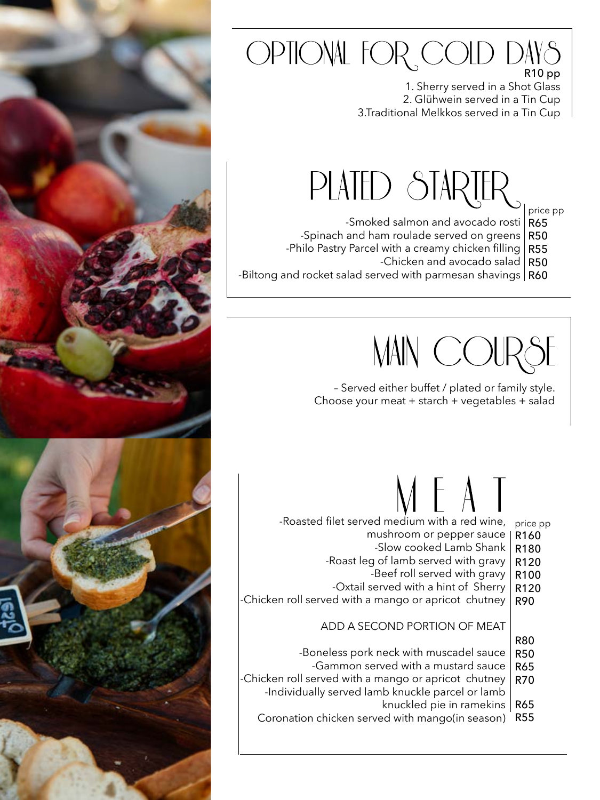## OPTIONAL FOR COLD DAYS R10 pp

1. Sherry served in a Shot Glass 2. Glühwein served in a Tin Cup 3.Traditional Melkkos served in a Tin Cup

## PLATED STARTER

price pp

- -Smoked salmon and avocado rosti R65
- -Spinach and ham roulade served on greens R50
- -Philo Pastry Parcel with a creamy chicken filling R55
	- -Chicken and avocado salad R50
- -Biltong and rocket salad served with parmesan shavings  $\mid$  **R60**

MAIN COUR

– Served either buffet / plated or family style. Choose your meat + starch + vegetables + salad

# $\mathcal{M} \vdash A \bot$

- -Roasted filet served medium with a red wine, price pp
	- mushroom or pepper sauce R160
		- -Slow cooked Lamb Shank R180
	- -Roast leg of lamb served with gravy R120
		- -Beef roll served with gravy R100
	- -Oxtail served with a hint of Sherry R120
- -Chicken roll served with a mango or apricot chutney R90

## ADD A SECOND PORTION OF MEAT

- R80
- -Boneless pork neck with muscadel sauce R50
	- -Gammon served with a mustard sauce R65
- -Chicken roll served with a mango or apricot chutney -Individually served lamb knuckle parcel or lamb R70
	- knuckled pie in ramekins R65
	- Coronation chicken served with mango(in season) R55

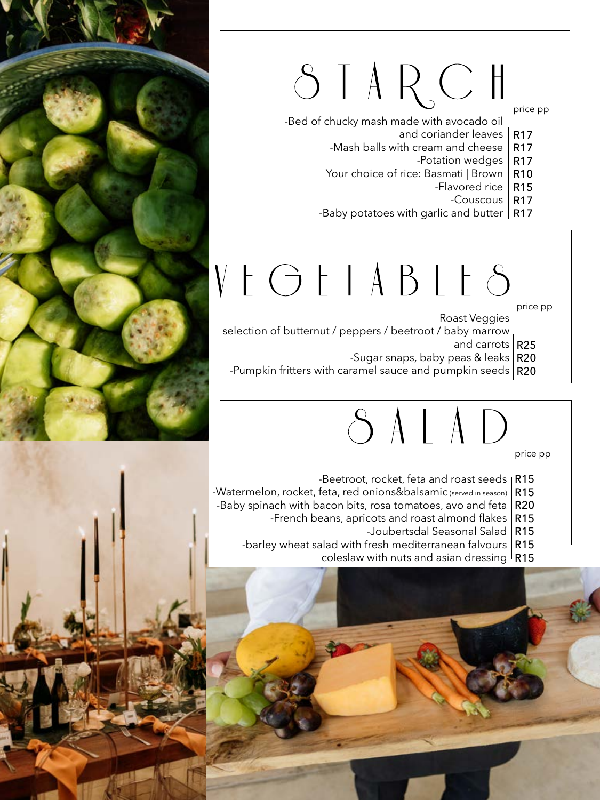# STARCH

### price pp

-Bed of chucky mash made with avocado oil

- and coriander leaves R17
- -Mash balls with cream and cheese R17
	- -Potation wedges R17
- Your choice of rice: Basmati | Brown R10
	- -Flavored rice R15
- -Couscous R17
	- -Baby potatoes with garlic and butter  $\mid$  **R17**

# VEGETABLES

price pp

Roast Veggies

- selection of butternut / peppers / beetroot / baby marrow
	- and carrots R25
- -Sugar snaps, baby peas & leaks R20
	- -Pumpkin fritters with caramel sauce and pumpkin seeds  $\mid$  <code>R20</code>

# SALAD

price pp

- -Beetroot, rocket, feta and roast seeds R15
- -Watermelon, rocket, feta, red onions&balsamic (served in season) R15
- -Baby spinach with bacon bits, rosa tomatoes, avo and feta  $|\,\mathsf{R20}\>$ 
	- -French beans, apricots and roast almond flakes  $\mid$  <code>R15</code>
- -Joubertsdal Seasonal Salad R15
	- -barley wheat salad with fresh mediterranean falvours R15
		- coleslaw with nuts and asian dressing R15



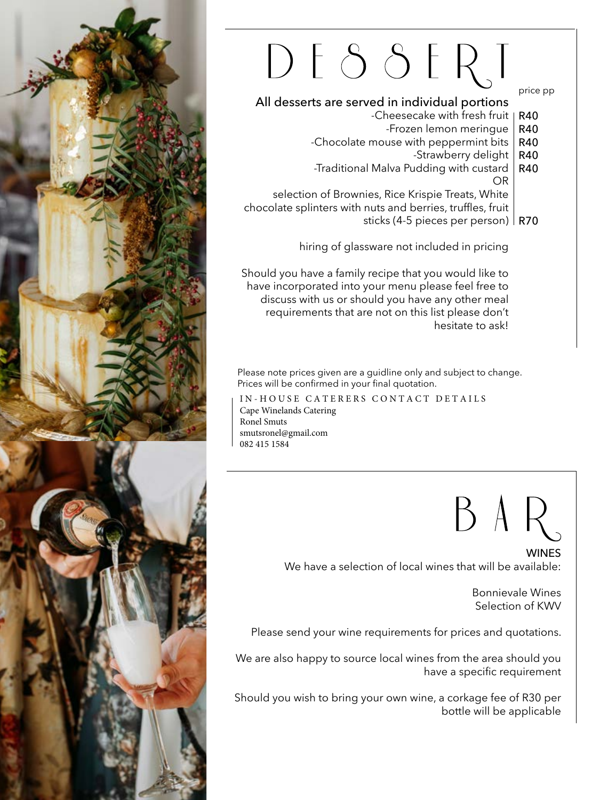

# DESSERT

## All desserts are served in individual portions

- -Cheesecake with fresh fruit | R40
	- -Frozen lemon meringue R40
- -Chocolate mouse with peppermint bits R40
	- -Strawberry delight R40

price pp

 -Traditional Malva Pudding with custard <u>oriente de la contrada de la contrada de la contrada de la contrada de la contrada de la contrada de la contra</u> R40

selection of Brownies, Rice Krispie Treats, White chocolate splinters with nuts and berries, truffles, fruit sticks (4-5 pieces per person) R70

hiring of glassware not included in pricing

Should you have a family recipe that you would like to have incorporated into your menu please feel free to discuss with us or should you have any other meal requirements that are not on this list please don't hesitate to ask!

Please note prices given are a guidline only and subject to change. Prices will be confirmed in your final quotation.

IN-HOUSE CATERERS CONTACT DETAILS Cape Winelands Catering Ronel Smuts smutsronel@gmail.com 082 415 1584



**WINES** We have a selection of local wines that will be available:

> Bonnievale Wines Selection of KWV

Please send your wine requirements for prices and quotations.

We are also happy to source local wines from the area should you have a specific requirement

 Should you wish to bring your own wine, a corkage fee of R30 per bottle will be applicable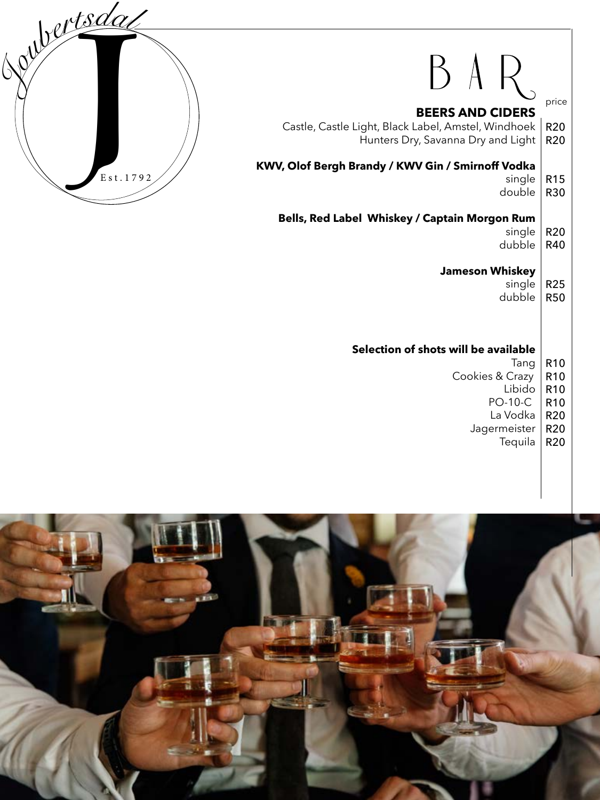

# $BAR$

## **BEERS AND CIDERS**

Castle, Castle Light, Black Label, Amstel, Windhoek Hunters Dry, Savanna Dry and Light R20 R20

### **KWV, Olof Bergh Brandy / KWV Gin / Smirnoff Vodka**

single to the contract of the contract of the single single R15

price

double R30

## **Bells, Red Label Whiskey / Captain Morgon Rum**

- single R20
- dubble R40

## **Jameson Whiskey**

- single R25
- dubble R50

### **Selection of shots will be available**

- Tang R10
- Cookies & Crazy R10
	- Libido R10
	- PO-10-C R10
	- La Vodka R20
	- Jagermeister **Tequila** R20 R20